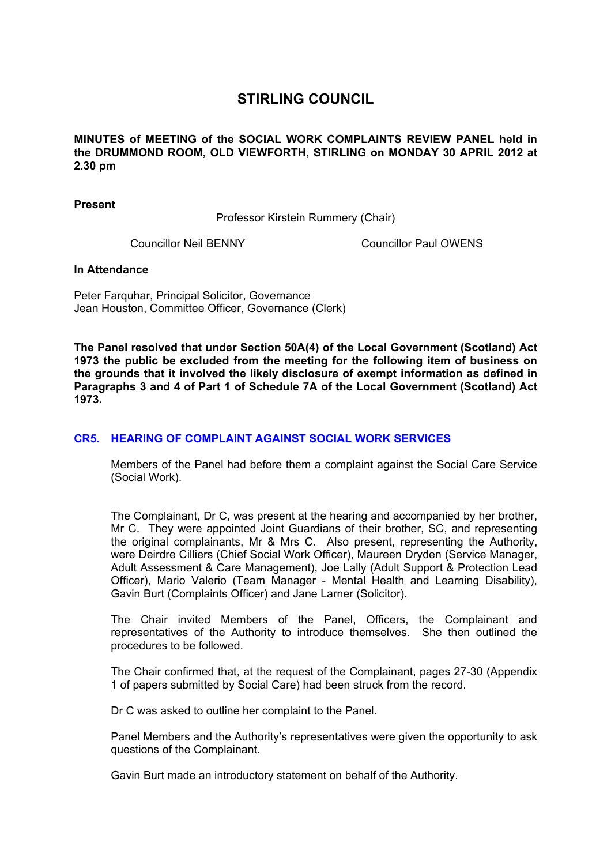## **STIRLING COUNCIL**

**MINUTES of MEETING of the SOCIAL WORK COMPLAINTS REVIEW PANEL held in the DRUMMOND ROOM, OLD VIEWFORTH, STIRLING on MONDAY 30 APRIL 2012 at 2.30 pm** 

**Present** 

Professor Kirstein Rummery (Chair)

Councillor Neil BENNY Councillor Paul OWENS

## **In Attendance**

Peter Farquhar, Principal Solicitor, Governance Jean Houston, Committee Officer, Governance (Clerk)

**The Panel resolved that under Section 50A(4) of the Local Government (Scotland) Act 1973 the public be excluded from the meeting for the following item of business on the grounds that it involved the likely disclosure of exempt information as defined in Paragraphs 3 and 4 of Part 1 of Schedule 7A of the Local Government (Scotland) Act 1973.** 

## **[CR5. HEARING OF COMPLAINT AGAINST SOCIAL WORK SERVICES](/forms/request.htm)**

Members of the Panel had before them a complaint against the Social Care Service (Social Work).

The Complainant, Dr C, was present at the hearing and accompanied by her brother, Mr C. They were appointed Joint Guardians of their brother, SC, and representing the original complainants, Mr & Mrs C. Also present, representing the Authority, were Deirdre Cilliers (Chief Social Work Officer), Maureen Dryden (Service Manager, Adult Assessment & Care Management), Joe Lally (Adult Support & Protection Lead Officer), Mario Valerio (Team Manager - Mental Health and Learning Disability), Gavin Burt (Complaints Officer) and Jane Larner (Solicitor).

The Chair invited Members of the Panel, Officers, the Complainant and representatives of the Authority to introduce themselves. She then outlined the procedures to be followed.

The Chair confirmed that, at the request of the Complainant, pages 27-30 (Appendix 1 of papers submitted by Social Care) had been struck from the record.

Dr C was asked to outline her complaint to the Panel.

Panel Members and the Authority's representatives were given the opportunity to ask questions of the Complainant.

Gavin Burt made an introductory statement on behalf of the Authority.